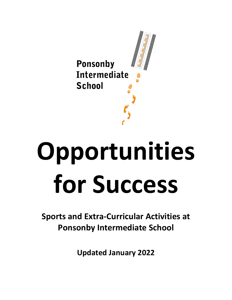

# **Opportunities for Success**

**Sports and Extra-Curricular Activities at Ponsonby Intermediate School**

**Updated January 2022**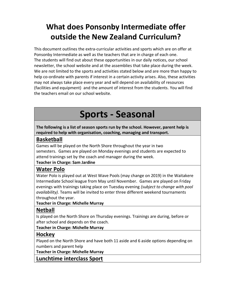### **What does Ponsonby Intermediate offer outside the New Zealand Curriculum?**

This document outlines the extra-curricular activities and sports which are on offer at Ponsonby Intermediate as well as the teachers that are in charge of each one. The students will find out about these opportunities in our daily notices, our school newsletter, the school website and at the assemblies that take place during the week. We are not limited to the sports and activities stated below and are more than happy to help co-ordinate with parents if interest in a certain activity arises. Also, these activities may not always take place every year and will depend on availability of resources (facilities and equipment) and the amount of interest from the students. You will find the teachers email on our school website.

### **Sports - Seasonal**

**The following is a list of season sports run by the school. However, parent help is required to help with organisation, coaching, managing and transport.**

### **Basketball**

Games will be played on the North Shore throughout the year in two semesters. Games are played on Monday evenings and students are expected to attend trainings set by the coach and manager during the week.

#### **Teacher in Charge: Sam Jardine**

### **Water Polo**

Water Polo is played out at West Wave Pools (may change on 2019) in the Waitakere Intermediate School league from May until November. Games are played on Friday evenings with trainings taking place on Tuesday evening *(subject to change with pool availability).* Teams will be invited to enter three different weekend tournaments throughout the year.

#### **Teacher in Charge: Michelle Murray**

### **Netball**

Is played on the North Shore on Thursday evenings. Trainings are during, before or after school and depends on the coach.

**Teacher in Charge: Michelle Murray**

### **Hockey**

Played on the North Shore and have both 11 aside and 6 aside options depending on numbers and parent help

**Teacher in Charge: Michelle Murray**

**Lunchtime interclass Sport**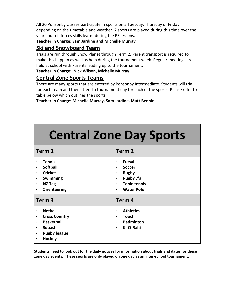All 20 Ponsonby classes participate in sports on a Tuesday, Thursday or Friday depending on the timetable and weather. 7 sports are played during this time over the year and reinforces skills learnt during the PE lessons.

**Teacher in Charge: Sam Jardine and Michelle Murray**

### **Ski and Snowboard Team**

Trials are run through Snow Planet through Term 2. Parent transport is required to make this happen as well as help during the tournament week. Regular meetings are held at school with Parents leading up to the tournament.

**Teacher in Charge: Nick Wilson, Michelle Murray**

### **Central Zone Sports Teams**

There are many sports that are entered by Ponsonby Intermediate. Students will trial for each team and then attend a tournament day for each of the sports. Please refer to table below which outlines the sports.

**Teacher in Charge: Michelle Murray, Sam Jardine, Matt Bennie**

| <b>Central Zone Day Sports</b>                                                                                                   |                                                                                                                                                                       |  |
|----------------------------------------------------------------------------------------------------------------------------------|-----------------------------------------------------------------------------------------------------------------------------------------------------------------------|--|
| Term 1                                                                                                                           | Term <sub>2</sub>                                                                                                                                                     |  |
| <b>Tennis</b><br><b>Softball</b><br><b>Cricket</b><br>$\bullet$<br>Swimming<br><b>NZ Tag</b><br>Orienteering<br>$\bullet$        | <b>Futsal</b><br>$\bullet$<br><b>Soccer</b><br>٠<br><b>Rugby</b><br>$\bullet$<br>Rugby 7's<br>٠<br><b>Table tennis</b><br>$\bullet$<br><b>Water Polo</b><br>$\bullet$ |  |
| Term <sub>3</sub>                                                                                                                | Term 4                                                                                                                                                                |  |
| <b>Netball</b><br>$\bullet$<br><b>Cross Country</b><br><b>Basketball</b><br>Squash<br><b>Rugby league</b><br>$\bullet$<br>Hockey | <b>Athletics</b><br>$\bullet$<br><b>Touch</b><br>$\bullet$<br><b>Badminton</b><br>$\bullet$<br>Ki-O-Rahi<br>$\bullet$                                                 |  |

**Students need to look out for the daily notices for information about trials and dates for these zone day events. These sports are only played on one day as an inter-school tournament.**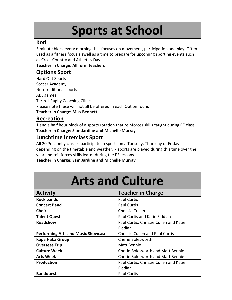# **Sports at School**

#### **Kori**

5 minute block every morning that focuses on movement, participation and play. Often used as a fitness focus a swell as a time to prepare for upcoming sporting events such as Cross Country and Athletics Day.

**Teacher in Charge: All form teachers**

### **Options Sport**

Hard Out Sports Soccer Academy Non-traditional sports ABL games Term 1 Rugby Coaching Clinic Please note these will not all be offered in each Option round **Teacher in Charge: Miss Bennett**

#### **Recreation**

1 and a half hour block of a sports rotation that reinforces skills taught during PE class. **Teacher in Charge: Sam Jardine and Michelle Murray**

### **Lunchtime interclass Sport**

All 20 Ponsonby classes participate in sports on a Tuesday, Thursday or Friday depending on the timetable and weather. 7 sports are played during this time over the year and reinforces skills learnt during the PE lessons.

**Teacher in Charge: Sam Jardine and Michelle Murray**

## **Arts and Culture**

| <b>Activity</b>                           | <b>Teacher in Charge</b>                 |
|-------------------------------------------|------------------------------------------|
| <b>Rock bands</b>                         | <b>Paul Curtis</b>                       |
| <b>Concert Band</b>                       | <b>Paul Curtis</b>                       |
| <b>Choir</b>                              | Chrissie Cullen                          |
| <b>Talent Quest</b>                       | Paul Curtis and Katie Fiddian            |
| <b>Roadshow</b>                           | Paul Curtis, Chrissie Cullen and Katie   |
|                                           | Fiddian                                  |
| <b>Performing Arts and Music Showcase</b> | <b>Chrissie Cullen and Paul Curtis</b>   |
| Kapa Haka Group                           | Cherie Bolesworth                        |
| <b>Overseas Trip</b>                      | Matt Bennie                              |
| <b>Culture Week</b>                       | <b>Cherie Bolesworth and Matt Bennie</b> |
| <b>Arts Week</b>                          | <b>Cherie Bolesworth and Matt Bennie</b> |
| <b>Production</b>                         | Paul Curtis, Chrissie Cullen and Katie   |
|                                           | Fiddian                                  |
| <b>Bandquest</b>                          | <b>Paul Curtis</b>                       |